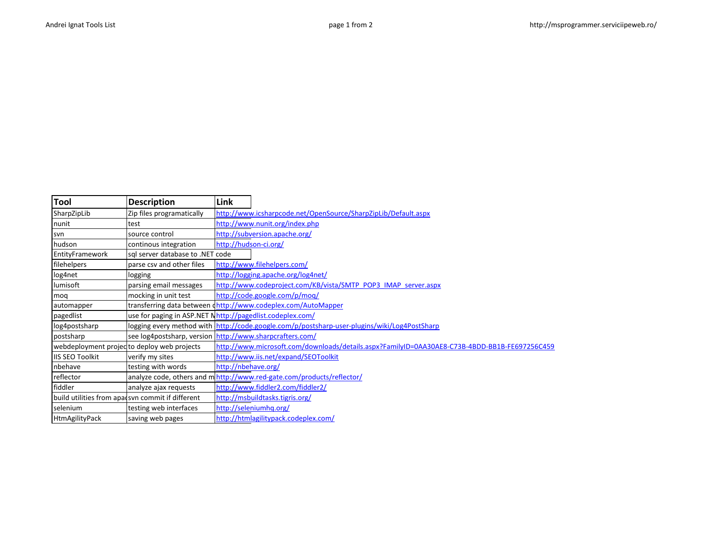E

| Tool                   | <b>Description</b>                                        | Link                  |                                                                                               |
|------------------------|-----------------------------------------------------------|-----------------------|-----------------------------------------------------------------------------------------------|
| SharpZipLib            | Zip files programatically                                 |                       | http://www.icsharpcode.net/OpenSource/SharpZipLib/Default.aspx                                |
| nunit                  | test                                                      |                       | http://www.nunit.org/index.php                                                                |
| svn                    | source control                                            |                       | http://subversion.apache.org/                                                                 |
| hudson                 | continous integration                                     | http://hudson-ci.org/ |                                                                                               |
| EntityFramework        | sql server database to .NET code                          |                       |                                                                                               |
| filehelpers            | parse csv and other files                                 |                       | http://www.filehelpers.com/                                                                   |
| log4net                | logging                                                   |                       | http://logging.apache.org/log4net/                                                            |
| lumisoft               | parsing email messages                                    |                       | http://www.codeproject.com/KB/vista/SMTP_POP3_IMAP_server.aspx                                |
| mog                    | mocking in unit test                                      |                       | http://code.google.com/p/moq/                                                                 |
| automapper             |                                                           |                       | transferring data between (http://www.codeplex.com/AutoMapper                                 |
| pagedlist              | use for paging in ASP.NET Nhttp://pagedlist.codeplex.com/ |                       |                                                                                               |
| log4postsharp          |                                                           |                       | logging every method with http://code.google.com/p/postsharp-user-plugins/wiki/Log4PostSharp  |
| postsharp              | see log4postsharp, version http://www.sharpcrafters.com/  |                       |                                                                                               |
|                        | webdeployment projecto deploy web projects                |                       | http://www.microsoft.com/downloads/details.aspx?FamilyID=0AA30AE8-C73B-4BDD-BB1B-FE697256C459 |
| <b>IIS SEO Toolkit</b> | verify my sites                                           |                       | http://www.iis.net/expand/SEOToolkit                                                          |
| nbehave                | testing with words                                        | http://nbehave.org/   |                                                                                               |
| reflector              |                                                           |                       | analyze code, others and mhttp://www.red-gate.com/products/reflector/                         |
| fiddler                | analyze ajax requests                                     |                       | http://www.fiddler2.com/fiddler2/                                                             |
|                        | build utilities from apadsyn commit if different          |                       | http://msbuildtasks.tigris.org/                                                               |
| selenium               | testing web interfaces                                    |                       | http://seleniumhq.org/                                                                        |
| HtmAgilityPack         | saving web pages                                          |                       | http://htmlagilitypack.codeplex.com/                                                          |

 $\overline{\phantom{a}}$